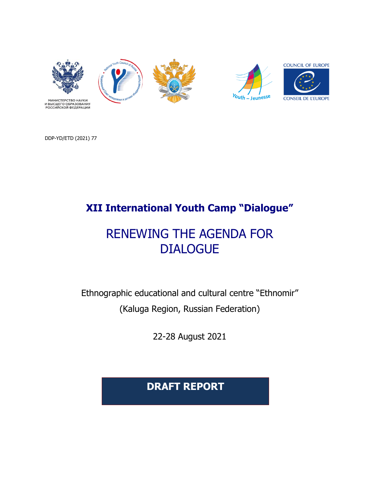



DDP-YD/ETD (2021) 77

## **XII International Youth Camp "Dialogue"**

# RENEWING THE AGENDA FOR DIALOGUE

Ethnographic educational and cultural centre "Ethnomir" (Kaluga Region, Russian Federation)

22-28 August 2021

**DRAFT REPORT**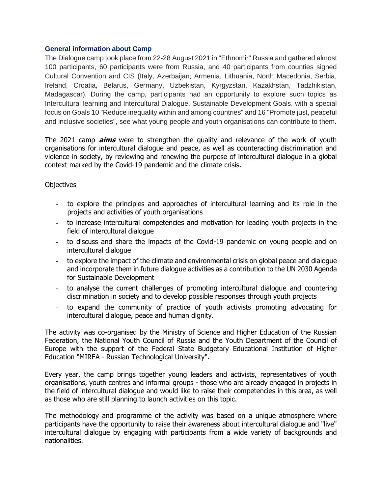#### **General information about Camp**

The Dialogue camp took place from 22-28 August 2021 in "Ethnomir" Russia and gathered almost 100 participants, 60 participants were from Russia, and 40 participants from counties signed Cultural Convention and CIS (Italy, Azerbaijan; Armenia, Lithuania, North Macedonia, Serbia, Ireland, Croatia, Belarus, Germany, Uzbekistan, Kyrgyzstan, Kazakhstan, Tadzhikistan, Madagascar). During the camp, participants had an opportunity to explore such topics as Intercultural learning and Intercultural Dialogue, Sustainable Development Goals, with a special focus on Goals 10 "Reduce inequality within and among countries" and 16 "Promote just, peaceful and inclusive societies", see what young people and youth organisations can contribute to them.

The 2021 camp **aims** were to strengthen the quality and relevance of the work of youth organisations for intercultural dialogue and peace, as well as counteracting discrimination and violence in society, by reviewing and renewing the purpose of intercultural dialogue in a global context marked by the Covid-19 pandemic and the climate crisis.

#### **Objectives**

- to explore the principles and approaches of intercultural learning and its role in the projects and activities of youth organisations
- to increase intercultural competencies and motivation for leading youth projects in the field of intercultural dialogue
- to discuss and share the impacts of the Covid-19 pandemic on young people and on intercultural dialogue
- to explore the impact of the climate and environmental crisis on global peace and dialogue and incorporate them in future dialogue activities as a contribution to the UN 2030 Agenda for Sustainable Development
- to analyse the current challenges of promoting intercultural dialogue and countering discrimination in society and to develop possible responses through youth projects
- to expand the community of practice of youth activists promoting advocating for intercultural dialogue, peace and human dignity.

The activity was co-organised by the Ministry of Science and Higher Education of the Russian Federation, the National Youth Council of Russia and the Youth Department of the Council of Europe with the support of the Federal State Budgetary Educational Institution of Higher Education "MIREA - Russian Technological University".

Every year, the camp brings together young leaders and activists, representatives of youth organisations, youth centres and informal groups - those who are already engaged in projects in the field of intercultural dialogue and would like to raise their competencies in this area, as well as those who are still planning to launch activities on this topic.

The methodology and programme of the activity was based on a unique atmosphere where participants have the opportunity to raise their awareness about intercultural dialogue and "live" intercultural dialogue by engaging with participants from a wide variety of backgrounds and nationalities.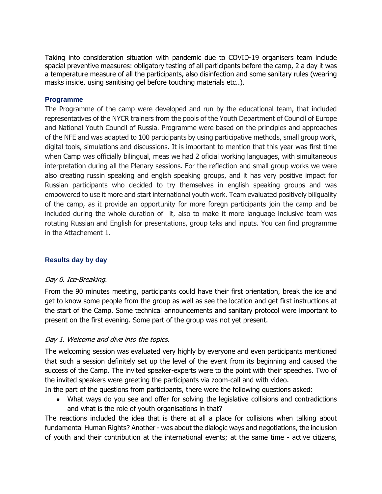Taking into consideration situation with pandemic due to COVID-19 organisers team include spacial preventive measures: obligatory testing of all participants before the camp, 2 a day it was a temperature measure of all the participants, also disinfection and some sanitary rules (wearing masks inside, using sanitising gel before touching materials etc..).

#### **Programme**

The Programme of the camp were developed and run by the educational team, that included representatives of the NYCR trainers from the pools of the Youth Department of Council of Europe and National Youth Council of Russia. Programme were based on the principles and approaches of the NFE and was adapted to 100 participants by using participative methods, small group work, digital tools, simulations and discussions. It is important to mention that this year was first time when Camp was officially bilingual, meas we had 2 oficial working languages, with simultaneous interpretation during all the Plenary sessions. For the reflection and small group works we were also creating russin speaking and englsh speaking groups, and it has very positive impact for Russian participants who decided to try themselves in english speaking groups and was empowered to use it more and start international youth work. Team evaluated positively biliguality of the camp, as it provide an opportunity for more foregn participants join the camp and be included during the whole duration of it, also to make it more language inclusive team was rotating Russian and English for presentations, group taks and inputs. You can find programme in the Attachement 1.

## **Results day by day**

## Day 0. Ice-Breaking.

From the 90 minutes meeting, participants could have their first orientation, break the ice and get to know some people from the group as well as see the location and get first instructions at the start of the Camp. Some technical announcements and sanitary protocol were important to present on the first evening. Some part of the group was not yet present.

## Day 1. Welcome and dive into the topics.

The welcoming session was evaluated very highly by everyone and even participants mentioned that such a session definitely set up the level of the event from its beginning and caused the success of the Camp. The invited speaker-experts were to the point with their speeches. Two of the invited speakers were greeting the participants via zoom-call and with video.

In the part of the questions from participants, there were the following questions asked:

• What ways do you see and offer for solving the legislative collisions and contradictions and what is the role of youth organisations in that?

The reactions included the idea that is there at all a place for collisions when talking about fundamental Human Rights? Another - was about the dialogic ways and negotiations, the inclusion of youth and their contribution at the international events; at the same time - active citizens,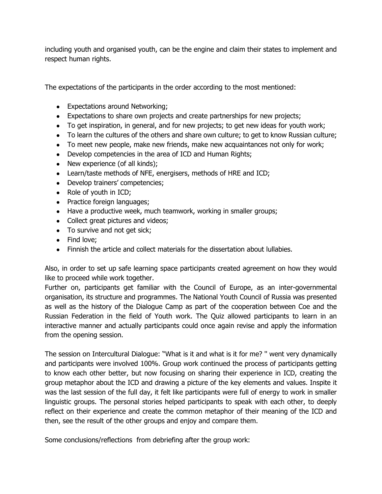including youth and organised youth, can be the engine and claim their states to implement and respect human rights.

The expectations of the participants in the order according to the most mentioned:

- Expectations around Networking;
- Expectations to share own projects and create partnerships for new projects;
- To get inspiration, in general, and for new projects; to get new ideas for youth work;
- To learn the cultures of the others and share own culture; to get to know Russian culture;
- To meet new people, make new friends, make new acquaintances not only for work;
- Develop competencies in the area of ICD and Human Rights;
- New experience (of all kinds);
- Learn/taste methods of NFE, energisers, methods of HRE and ICD;
- Develop trainers' competencies;
- Role of youth in ICD;
- Practice foreign languages;
- Have a productive week, much teamwork, working in smaller groups;
- Collect great pictures and videos;
- To survive and not get sick;
- Find love;
- Finnish the article and collect materials for the dissertation about lullabies.

Also, in order to set up safe learning space participants created agreement on how they would like to proceed while work together.

Further on, participants get familiar with the Council of Europe, as an inter-governmental organisation, its structure and programmes. The National Youth Council of Russia was presented as well as the history of the Dialogue Camp as part of the cooperation between Coe and the Russian Federation in the field of Youth work. The Quiz allowed participants to learn in an interactive manner and actually participants could once again revise and apply the information from the opening session.

The session on Intercultural Dialogue: "What is it and what is it for me? '' went very dynamically and participants were involved 100%. Group work continued the process of participants getting to know each other better, but now focusing on sharing their experience in ICD, creating the group metaphor about the ICD and drawing a picture of the key elements and values. Inspite it was the last session of the full day, it felt like participants were full of energy to work in smaller linguistic groups. The personal stories helped participants to speak with each other, to deeply reflect on their experience and create the common metaphor of their meaning of the ICD and then, see the result of the other groups and enjoy and compare them.

Some conclusions/reflections from debriefing after the group work: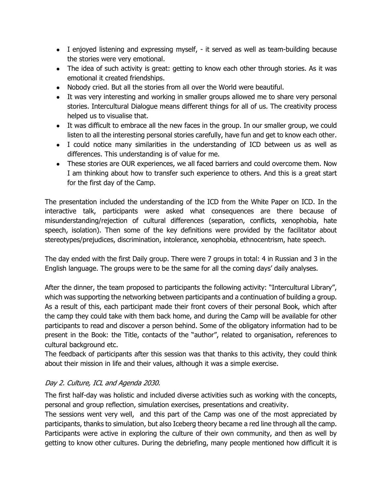- I enjoyed listening and expressing myself, it served as well as team-building because the stories were very emotional.
- The idea of such activity is great: getting to know each other through stories. As it was emotional it created friendships.
- Nobody cried. But all the stories from all over the World were beautiful.
- It was very interesting and working in smaller groups allowed me to share very personal stories. Intercultural Dialogue means different things for all of us. The creativity process helped us to visualise that.
- It was difficult to embrace all the new faces in the group. In our smaller group, we could listen to all the interesting personal stories carefully, have fun and get to know each other.
- I could notice many similarities in the understanding of ICD between us as well as differences. This understanding is of value for me.
- These stories are OUR experiences, we all faced barriers and could overcome them. Now I am thinking about how to transfer such experience to others. And this is a great start for the first day of the Camp.

The presentation included the understanding of the ICD from the White Paper on ICD. In the interactive talk, participants were asked what consequences are there because of misunderstanding/rejection of cultural differences (separation, conflicts, xenophobia, hate speech, isolation). Then some of the key definitions were provided by the facilitator about stereotypes/prejudices, discrimination, intolerance, xenophobia, ethnocentrism, hate speech.

The day ended with the first Daily group. There were 7 groups in total: 4 in Russian and 3 in the English language. The groups were to be the same for all the coming days' daily analyses.

After the dinner, the team proposed to participants the following activity: "Intercultural Library", which was supporting the networking between participants and a continuation of building a group. As a result of this, each participant made their front covers of their personal Book, which after the camp they could take with them back home, and during the Camp will be available for other participants to read and discover a person behind. Some of the obligatory information had to be present in the Book: the Title, contacts of the "author", related to organisation, references to cultural background etc.

The feedback of participants after this session was that thanks to this activity, they could think about their mission in life and their values, although it was a simple exercise.

## Day 2. Culture, ICL and Agenda 2030.

The first half-day was holistic and included diverse activities such as working with the concepts, personal and group reflection, simulation exercises, presentations and creativity.

The sessions went very well, and this part of the Camp was one of the most appreciated by participants, thanks to simulation, but also Iceberg theory became a red line through all the camp. Participants were active in exploring the culture of their own community, and then as well by getting to know other cultures. During the debriefing, many people mentioned how difficult it is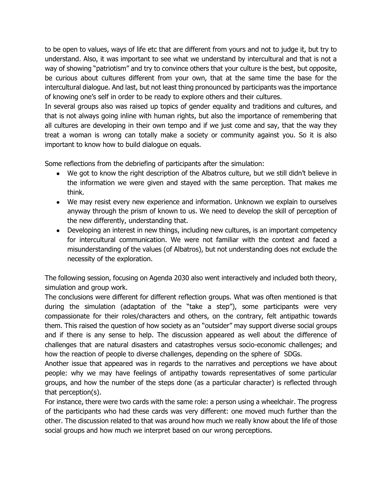to be open to values, ways of life etc that are different from yours and not to judge it, but try to understand. Also, it was important to see what we understand by intercultural and that is not a way of showing "patriotism" and try to convince others that your culture is the best, but opposite, be curious about cultures different from your own, that at the same time the base for the intercultural dialogue. And last, but not least thing pronounced by participants was the importance of knowing one's self in order to be ready to explore others and their cultures.

In several groups also was raised up topics of gender equality and traditions and cultures, and that is not always going inline with human rights, but also the importance of remembering that all cultures are developing in their own tempo and if we just come and say, that the way they treat a woman is wrong can totally make a society or community against you. So it is also important to know how to build dialogue on equals.

Some reflections from the debriefing of participants after the simulation:

- We got to know the right description of the Albatros culture, but we still didn't believe in the information we were given and stayed with the same perception. That makes me think.
- We may resist every new experience and information. Unknown we explain to ourselves anyway through the prism of known to us. We need to develop the skill of perception of the new differently, understanding that.
- Developing an interest in new things, including new cultures, is an important competency for intercultural communication. We were not familiar with the context and faced a misunderstanding of the values (of Albatros), but not understanding does not exclude the necessity of the exploration.

The following session, focusing on Agenda 2030 also went interactively and included both theory, simulation and group work.

The conclusions were different for different reflection groups. What was often mentioned is that during the simulation (adaptation of the "take a step"), some participants were very compassionate for their roles/characters and others, on the contrary, felt antipathic towards them. This raised the question of how society as an "outsider" may support diverse social groups and if there is any sense to help. The discussion appeared as well about the difference of challenges that are natural disasters and catastrophes versus socio-economic challenges; and how the reaction of people to diverse challenges, depending on the sphere of SDGs.

Another issue that appeared was in regards to the narratives and perceptions we have about people: why we may have feelings of antipathy towards representatives of some particular groups, and how the number of the steps done (as a particular character) is reflected through that perception(s).

For instance, there were two cards with the same role: a person using a wheelchair. The progress of the participants who had these cards was very different: one moved much further than the other. The discussion related to that was around how much we really know about the life of those social groups and how much we interpret based on our wrong perceptions.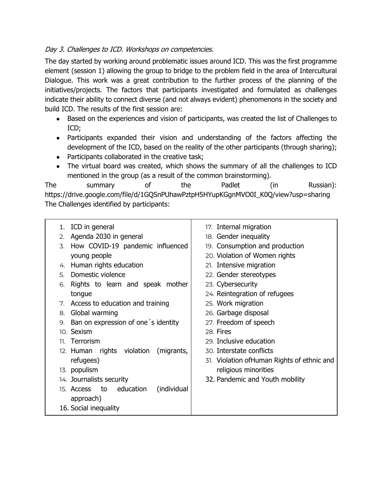## Day 3. Challenges to ICD. Workshops on competencies.

The day started by working around problematic issues around ICD. This was the first programme element (session 1) allowing the group to bridge to the problem field in the area of Intercultural Dialogue. This work was a great contribution to the further process of the planning of the initiatives/projects. The factors that participants investigated and formulated as challenges indicate their ability to connect diverse (and not always evident) phenomenons in the society and build ICD. The results of the first session are:

- Based on the experiences and vision of participants, was created the list of Challenges to ICD;
- Participants expanded their vision and understanding of the factors affecting the development of the ICD, based on the reality of the other participants (through sharing);
- Participants collaborated in the creative task;
- The virtual board was created, which shows the summary of all the challenges to ICD mentioned in the group (as a result of the common brainstorming).

The summary of the Padlet (in Russian): [https://drive.google.com/file/d/1GQSnPUhawPztpH5HYupKGgnMVO0I\\_K0Q/view?usp=sharing](https://drive.google.com/file/d/1GQSnPUhawPztpH5HYupKGgnMVO0I_K0Q/view?usp=sharing) The Challenges identified by participants:

| ICD in general<br>1.                         | 17. Internal migration                      |
|----------------------------------------------|---------------------------------------------|
| Agenda 2030 in general<br>2.                 | 18. Gender inequality                       |
| How COVID-19 pandemic influenced<br>3.       | 19. Consumption and production              |
| young people                                 | 20. Violation of Women rights               |
| Human rights education<br>4.                 | 21. Intensive migration                     |
| Domestic violence<br>5.                      | 22. Gender stereotypes                      |
| Rights to learn and speak mother<br>6.       | 23. Cybersecurity                           |
| tongue                                       | 24. Reintegration of refugees               |
| Access to education and training<br>7.       | 25. Work migration                          |
| Global warming<br>8.                         | 26. Garbage disposal                        |
| Ban on expression of one's identity<br>9.    | 27. Freedom of speech                       |
| 10. Sexism                                   | 28. Fires                                   |
| Terrorism<br>11.                             | 29. Inclusive education                     |
| 12. Human rights violation<br>(migrants,     | 30. Interstate conflicts                    |
| refugees)                                    | 31. Violation of Human Rights of ethnic and |
| 13. populism                                 | religious minorities                        |
| 14. Journalists security                     | 32. Pandemic and Youth mobility             |
| education<br>(individual<br>15. Access<br>to |                                             |
| approach)                                    |                                             |
| 16. Social inequality                        |                                             |
|                                              |                                             |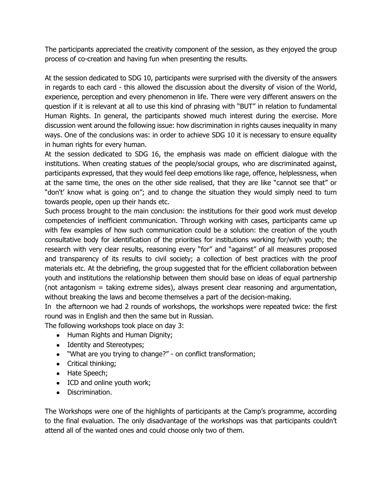The participants appreciated the creativity component of the session, as they enjoyed the group process of co-creation and having fun when presenting the results.

At the session dedicated to SDG 10, participants were surprised with the diversity of the answers in regards to each card - this allowed the discussion about the diversity of vision of the World, experience, perception and every phenomenon in life. There were very different answers on the question if it is relevant at all to use this kind of phrasing with "BUT" in relation to fundamental Human Rights. In general, the participants showed much interest during the exercise. More discussion went around the following issue: how discrimination in rights causes inequality in many ways. One of the conclusions was: in order to achieve SDG 10 it is necessary to ensure equality in human rights for every human.

At the session dedicated to SDG 16, the emphasis was made on efficient dialogue with the institutions. When creating statues of the people/social groups, who are discriminated against, participants expressed, that they would feel deep emotions like rage, offence, helplessness, when at the same time, the ones on the other side realised, that they are like "cannot see that" or "don't' know what is going on"; and to change the situation they would simply need to turn towards people, open up their hands etc.

Such process brought to the main conclusion: the institutions for their good work must develop competencies of inefficient communication. Through working with cases, participants came up with few examples of how such communication could be a solution: the creation of the youth consultative body for identification of the priorities for institutions working for/with youth; the research with very clear results, reasoning every "for" and "against" of all measures proposed and transparency of its results to civil society; a collection of best practices with the proof materials etc. At the debriefing, the group suggested that for the efficient collaboration between youth and institutions the relationship between them should base on ideas of equal partnership (not antagonism = taking extreme sides), always present clear reasoning and argumentation, without breaking the laws and become themselves a part of the decision-making.

In the afternoon we had 2 rounds of workshops, the workshops were repeated twice: the first round was in English and then the same but in Russian.

The following workshops took place on day 3:

- Human Rights and Human Dignity;
- Identity and Stereotypes;
- "What are you trying to change?" on conflict transformation;
- Critical thinking;
- Hate Speech;
- ICD and online youth work;
- Discrimination.

The Workshops were one of the highlights of participants at the Camp's programme, according to the final evaluation. The only disadvantage of the workshops was that participants couldn't attend all of the wanted ones and could choose only two of them.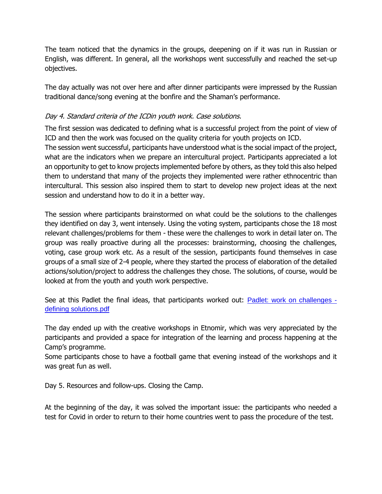The team noticed that the dynamics in the groups, deepening on if it was run in Russian or English, was different. In general, all the workshops went successfully and reached the set-up objectives.

The day actually was not over here and after dinner participants were impressed by the Russian traditional dance/song evening at the bonfire and the Shaman's performance.

## Day 4. Standard criteria of the ICDin youth work. Case solutions.

The first session was dedicated to defining what is a successful project from the point of view of ICD and then the work was focused on the quality criteria for youth projects on ICD.

The session went successful, participants have understood what is the social impact of the project, what are the indicators when we prepare an intercultural project. Participants appreciated a lot an opportunity to get to know projects implemented before by others, as they told this also helped them to understand that many of the projects they implemented were rather ethnocentric than intercultural. This session also inspired them to start to develop new project ideas at the next session and understand how to do it in a better way.

The session where participants brainstormed on what could be the solutions to the challenges they identified on day 3, went intensely. Using the voting system, participants chose the 18 most relevant challenges/problems for them - these were the challenges to work in detail later on. The group was really proactive during all the processes: brainstorming, choosing the challenges, voting, case group work etc. As a result of the session, participants found themselves in case groups of a small size of 2-4 people, where they started the process of elaboration of the detailed actions/solution/project to address the challenges they chose. The solutions, of course, would be looked at from the youth and youth work perspective.

See at this Padlet the final ideas, that participants worked out: [Padlet: work on challenges](https://drive.google.com/file/d/1HDDcvQF_KFG26VWoysqRbV1pNvbYMy3Q/view?usp=sharing)  [defining solutions.pdf](https://drive.google.com/file/d/1HDDcvQF_KFG26VWoysqRbV1pNvbYMy3Q/view?usp=sharing)

The day ended up with the creative workshops in Etnomir, which was very appreciated by the participants and provided a space for integration of the learning and process happening at the Camp's programme.

Some participants chose to have a football game that evening instead of the workshops and it was great fun as well.

Day 5. Resources and follow-ups. Closing the Camp.

At the beginning of the day, it was solved the important issue: the participants who needed a test for Covid in order to return to their home countries went to pass the procedure of the test.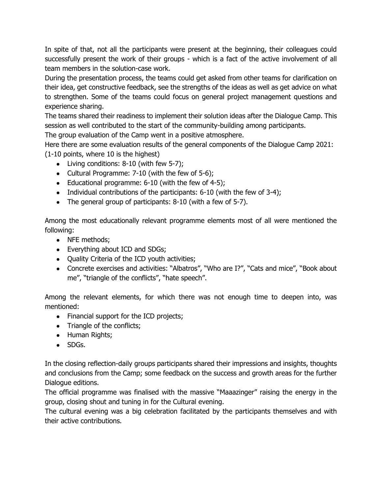In spite of that, not all the participants were present at the beginning, their colleagues could successfully present the work of their groups - which is a fact of the active involvement of all team members in the solution-case work.

During the presentation process, the teams could get asked from other teams for clarification on their idea, get constructive feedback, see the strengths of the ideas as well as get advice on what to strengthen. Some of the teams could focus on general project management questions and experience sharing.

The teams shared their readiness to implement their solution ideas after the Dialogue Camp. This session as well contributed to the start of the community-building among participants.

The group evaluation of the Camp went in a positive atmosphere.

Here there are some evaluation results of the general components of the Dialogue Camp 2021: (1-10 points, where 10 is the highest)

- $\bullet$  Living conditions: 8-10 (with few 5-7);
- Cultural Programme: 7-10 (with the few of 5-6);
- Educational programme:  $6-10$  (with the few of  $4-5$ );
- Individual contributions of the participants: 6-10 (with the few of 3-4);
- The general group of participants: 8-10 (with a few of 5-7).

Among the most educationally relevant programme elements most of all were mentioned the following:

- NFE methods;
- Everything about ICD and SDGs;
- Quality Criteria of the ICD youth activities;
- Concrete exercises and activities: "Albatros", "Who are I?", "Cats and mice", "Book about me", "triangle of the conflicts", "hate speech".

Among the relevant elements, for which there was not enough time to deepen into, was mentioned:

- Financial support for the ICD projects;
- Triangle of the conflicts;
- Human Rights;
- SDGs.

In the closing reflection-daily groups participants shared their impressions and insights, thoughts and conclusions from the Camp; some feedback on the success and growth areas for the further Dialogue editions.

The official programme was finalised with the massive "Maaazinger" raising the energy in the group, closing shout and tuning in for the Cultural evening.

The cultural evening was a big celebration facilitated by the participants themselves and with their active contributions.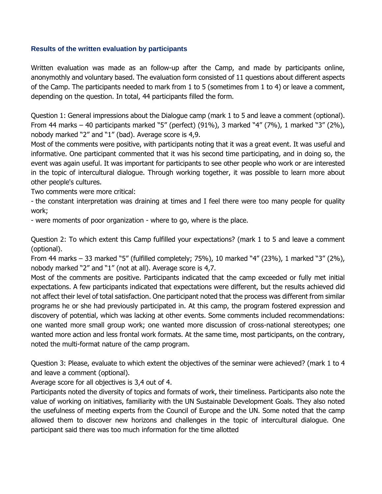#### **Results of the written evaluation by participants**

Written evaluation was made as an follow-up after the Camp, and made by participants online, anonymothly and voluntary based. The evaluation form consisted of 11 questions about different aspects of the Camp. The participants needed to mark from 1 to 5 (sometimes from 1 to 4) or leave a comment, depending on the question. In total, 44 participants filled the form.

Question 1: General impressions about the Dialogue camp (mark 1 to 5 and leave a comment (optional). From 44 marks – 40 participants marked "5" (perfect) (91%), 3 marked "4" (7%), 1 marked "3" (2%), nobody marked "2" and "1" (bad). Average score is 4,9.

Most of the comments were positive, with participants noting that it was a great event. It was useful and informative. One participant commented that it was his second time participating, and in doing so, the event was again useful. It was important for participants to see other people who work or are interested in the topic of intercultural dialogue. Through working together, it was possible to learn more about other people's cultures.

Two comments were more critical:

- the constant interpretation was draining at times and I feel there were too many people for quality work;

- were moments of poor organization - where to go, where is the place.

Question 2: To which extent this Camp fulfilled your expectations? (mark 1 to 5 and leave a comment (optional).

From 44 marks – 33 marked "5" (fulfilled completely; 75%), 10 marked "4" (23%), 1 marked "3" (2%), nobody marked "2" and "1" (not at all). Average score is 4,7.

Most of the comments are positive. Participants indicated that the camp exceeded or fully met initial expectations. A few participants indicated that expectations were different, but the results achieved did not affect their level of total satisfaction. One participant noted that the process was different from similar programs he or she had previously participated in. At this camp, the program fostered expression and discovery of potential, which was lacking at other events. Some comments included recommendations: one wanted more small group work; one wanted more discussion of cross-national stereotypes; one wanted more action and less frontal work formats. At the same time, most participants, on the contrary, noted the multi-format nature of the camp program.

Question 3: Please, evaluate to which extent the objectives of the seminar were achieved? (mark 1 to 4 and leave a comment (optional).

Average score for all objectives is 3,4 out of 4.

Participants noted the diversity of topics and formats of work, their timeliness. Participants also note the value of working on initiatives, familiarity with the UN Sustainable Development Goals. They also noted the usefulness of meeting experts from the Council of Europe and the UN. Some noted that the camp allowed them to discover new horizons and challenges in the topic of intercultural dialogue. One participant said there was too much information for the time allotted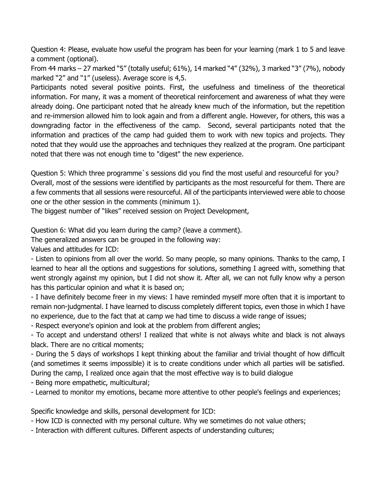Question 4: Please, evaluate how useful the program has been for your learning (mark 1 to 5 and leave a comment (optional).

From 44 marks – 27 marked "5" (totally useful; 61%), 14 marked "4" (32%), 3 marked "3" (7%), nobody marked "2" and "1" (useless). Average score is 4,5.

Participants noted several positive points. First, the usefulness and timeliness of the theoretical information. For many, it was a moment of theoretical reinforcement and awareness of what they were already doing. One participant noted that he already knew much of the information, but the repetition and re-immersion allowed him to look again and from a different angle. However, for others, this was a downgrading factor in the effectiveness of the camp. Second, several participants noted that the information and practices of the camp had guided them to work with new topics and projects. They noted that they would use the approaches and techniques they realized at the program. One participant noted that there was not enough time to "digest" the new experience.

Question 5: Which three programme`s sessions did you find the most useful and resourceful for you? Overall, most of the sessions were identified by participants as the most resourceful for them. There are a few comments that all sessions were resourceful. All of the participants interviewed were able to choose one or the other session in the comments (minimum 1).

The biggest number of "likes" received session on Project Development,

Question 6: What did you learn during the camp? (leave a comment).

The generalized answers can be grouped in the following way:

Values and attitudes for ICD:

- Listen to opinions from all over the world. So many people, so many opinions. Thanks to the camp, I learned to hear all the options and suggestions for solutions, something I agreed with, something that went strongly against my opinion, but I did not show it. After all, we can not fully know why a person has this particular opinion and what it is based on;

- I have definitely become freer in my views: I have reminded myself more often that it is important to remain non-judgmental. I have learned to discuss completely different topics, even those in which I have no experience, due to the fact that at camp we had time to discuss a wide range of issues;

- Respect everyone's opinion and look at the problem from different angles;

- To accept and understand others! I realized that white is not always white and black is not always black. There are no critical moments;

- During the 5 days of workshops I kept thinking about the familiar and trivial thought of how difficult (and sometimes it seems impossible) it is to create conditions under which all parties will be satisfied. During the camp, I realized once again that the most effective way is to build dialogue

- Being more empathetic, multicultural;

- Learned to monitor my emotions, became more attentive to other people's feelings and experiences;

Specific knowledge and skills, personal development for ICD:

- How ICD is connected with my personal culture. Why we sometimes do not value others;

- Interaction with different cultures. Different aspects of understanding cultures;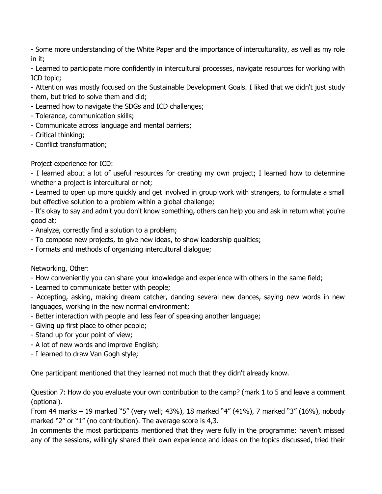- Some more understanding of the White Paper and the importance of interculturality, as well as my role in it;

- Learned to participate more confidently in intercultural processes, navigate resources for working with ICD topic;

- Attention was mostly focused on the Sustainable Development Goals. I liked that we didn't just study them, but tried to solve them and did;

- Learned how to navigate the SDGs and ICD challenges;

- Tolerance, communication skills;
- Communicate across language and mental barriers;
- Critical thinking;
- Conflict transformation;

## Project experience for ICD:

- I learned about a lot of useful resources for creating my own project; I learned how to determine whether a project is intercultural or not;

- Learned to open up more quickly and get involved in group work with strangers, to formulate a small but effective solution to a problem within a global challenge;

- It's okay to say and admit you don't know something, others can help you and ask in return what you're good at;

- Analyze, correctly find a solution to a problem;
- To compose new projects, to give new ideas, to show leadership qualities;
- Formats and methods of organizing intercultural dialogue;

Networking, Other:

- How conveniently you can share your knowledge and experience with others in the same field;
- Learned to communicate better with people;

- Accepting, asking, making dream catcher, dancing several new dances, saying new words in new languages, working in the new normal environment;

- Better interaction with people and less fear of speaking another language;

- Giving up first place to other people;
- Stand up for your point of view;
- A lot of new words and improve English;

- I learned to draw Van Gogh style;

One participant mentioned that they learned not much that they didn't already know.

Question 7: How do you evaluate your own contribution to the camp? (mark 1 to 5 and leave a comment (optional).

From 44 marks – 19 marked "5" (very well; 43%), 18 marked "4" (41%), 7 marked "3" (16%), nobody marked "2" or "1" (no contribution). The average score is 4,3.

In comments the most participants mentioned that they were fully in the programme: haven't missed any of the sessions, willingly shared their own experience and ideas on the topics discussed, tried their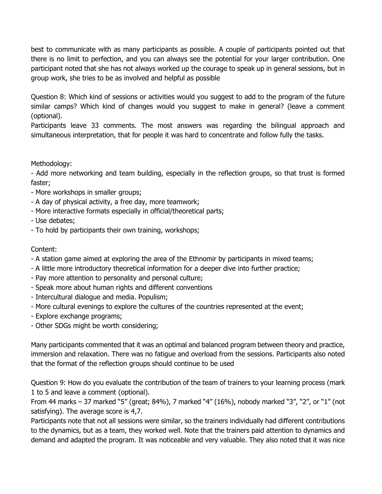best to communicate with as many participants as possible. A couple of participants pointed out that there is no limit to perfection, and you can always see the potential for your larger contribution. One participant noted that she has not always worked up the courage to speak up in general sessions, but in group work, she tries to be as involved and helpful as possible

Question 8: Which kind of sessions or activities would you suggest to add to the program of the future similar camps? Which kind of changes would you suggest to make in general? (leave a comment (optional).

Participants leave 33 comments. The most answers was regarding the bilingual approach and simultaneous interpretation, that for people it was hard to concentrate and follow fully the tasks.

Methodology:

- Add more networking and team building, especially in the reflection groups, so that trust is formed faster;

- More workshops in smaller groups;
- A day of physical activity, a free day, more teamwork;
- More interactive formats especially in official/theoretical parts;

- Use debates;

- To hold by participants their own training, workshops;

Content:

- A station game aimed at exploring the area of the Ethnomir by participants in mixed teams;
- A little more introductory theoretical information for a deeper dive into further practice;
- Pay more attention to personality and personal culture;
- Speak more about human rights and different conventions
- Intercultural dialogue and media. Populism;
- More cultural evenings to explore the cultures of the countries represented at the event;
- Explore exchange programs;
- Other SDGs might be worth considering;

Many participants commented that it was an optimal and balanced program between theory and practice, immersion and relaxation. There was no fatigue and overload from the sessions. Participants also noted that the format of the reflection groups should continue to be used

Question 9: How do you evaluate the contribution of the team of trainers to your learning process (mark 1 to 5 and leave a comment (optional).

From 44 marks – 37 marked "5" (great; 84%), 7 marked "4" (16%), nobody marked "3", "2", or "1" (not satisfying). The average score is 4,7.

Participants note that not all sessions were similar, so the trainers individually had different contributions to the dynamics, but as a team, they worked well. Note that the trainers paid attention to dynamics and demand and adapted the program. It was noticeable and very valuable. They also noted that it was nice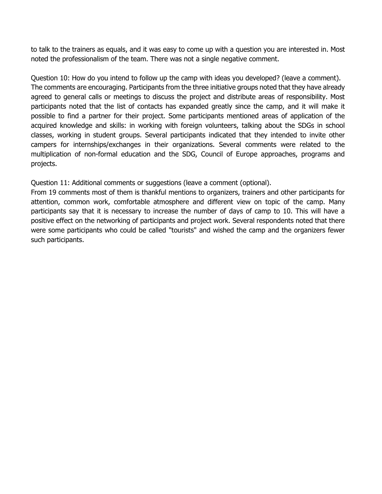to talk to the trainers as equals, and it was easy to come up with a question you are interested in. Most noted the professionalism of the team. There was not a single negative comment.

Question 10: How do you intend to follow up the camp with ideas you developed? (leave a comment). The comments are encouraging. Participants from the three initiative groups noted that they have already agreed to general calls or meetings to discuss the project and distribute areas of responsibility. Most participants noted that the list of contacts has expanded greatly since the camp, and it will make it possible to find a partner for their project. Some participants mentioned areas of application of the acquired knowledge and skills: in working with foreign volunteers, talking about the SDGs in school classes, working in student groups. Several participants indicated that they intended to invite other campers for internships/exchanges in their organizations. Several comments were related to the multiplication of non-formal education and the SDG, Council of Europe approaches, programs and projects.

Question 11: Additional comments or suggestions (leave a comment (optional).

From 19 comments most of them is thankful mentions to organizers, trainers and other participants for attention, common work, comfortable atmosphere and different view on topic of the camp. Many participants say that it is necessary to increase the number of days of camp to 10. This will have a positive effect on the networking of participants and project work. Several respondents noted that there were some participants who could be called "tourists" and wished the camp and the organizers fewer such participants.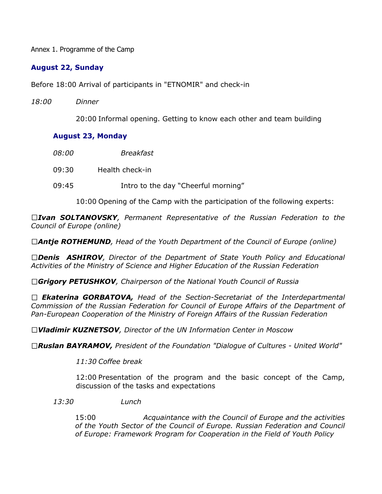Annex 1. Programme of the Camp

## **August 22, Sunday**

Before 18:00 Arrival of participants in "ETNOMIR" and check-in

*18:00 Dinner*

20:00 Informal opening. Getting to know each other and team building

## **August 23, Monday**

- *08:00 Breakfast*
- 09:30 Health check-in
- 09:45 Intro to the day "Cheerful morning"

10:00 Opening of the Camp with the participation of the following experts:

*Ivan SOLTANOVSKY, Permanent Representative of the Russian Federation to the Council of Europe (online)*

*Antje ROTHEMUND, Head of the Youth Department of the Council of Europe (online)*

*Denis ASHIROV, Director of the Department of State Youth Policy and Educational Activities of the Ministry of Science and Higher Education of the Russian Federation*

*Grigory PETUSHKOV, Chairperson of the National Youth Council of Russia*

*Ekaterina GORBATOVA, Head of the Section-Secretariat of the Interdepartmental Commission of the Russian Federation for Council of Europe Affairs of the Department of Pan-European Cooperation of the Ministry of Foreign Affairs of the Russian Federation*

*Vladimir KUZNETSOV, Director of the UN Information Center in Moscow*

*Ruslan BAYRAMOV, President of the Foundation "Dialogue of Cultures - United World"*

*11:30 Coffee break*

12:00 Presentation of the program and the basic concept of the Camp, discussion of the tasks and expectations

*13:30 Lunch*

15:00 *Acquaintance with the Council of Europe and the activities of the Youth Sector of the Council of Europe. Russian Federation and Council of Europe: Framework Program for Cooperation in the Field of Youth Policy*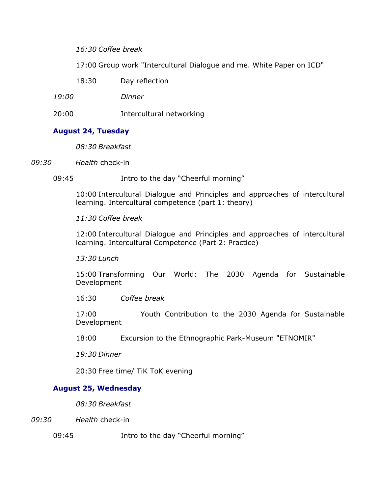*16:30 Coffee break*

17:00 Group work "Intercultural Dialogue and me. White Paper on ICD"

- 18:30 Day reflection
- *19:00 Dinner*
- 20:00 Intercultural networking

## **August 24, Tuesday**

*08:30 Breakfast*

- *09:30 Health* check-in
	- 09:45 Intro to the day "Cheerful morning"

10:00 Intercultural Dialogue and Principles and approaches of intercultural learning. Intercultural competence (part 1: theory)

## *11:30 Coffee break*

12:00 Intercultural Dialogue and Principles and approaches of intercultural learning. Intercultural Competence (Part 2: Practice)

*13:30 Lunch*

15:00 Transforming Our World: The 2030 Agenda for Sustainable Development

16:30 *Coffee break*

17:00 Youth Contribution to the 2030 Agenda for Sustainable Development

18:00 Excursion to the Ethnographic Park-Museum "ETNOMIR"

*19:30 Dinner*

20:30 Free time/ TiK ToK evening

## **August 25, Wednesday**

*08:30 Breakfast*

- *09:30 Health* check-in
	- 09:45 Intro to the day "Cheerful morning"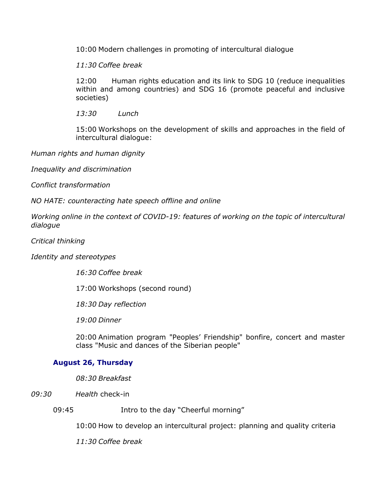10:00 Modern challenges in promoting of intercultural dialogue

*11:30 Coffee break*

12:00 Human rights education and its link to SDG 10 (reduce inequalities within and among countries) and SDG 16 (promote peaceful and inclusive societies)

*13:30 Lunch*

15:00 Workshops on the development of skills and approaches in the field of intercultural dialogue:

*Human rights and human dignity* 

*Inequality and discrimination*

*Conflict transformation*

*NO HATE: counteracting hate speech offline and online*

*Working online in the context of COVID-19: features of working on the topic of intercultural dialogue* 

*Critical thinking* 

*Identity and stereotypes* 

*16:30 Coffee break*

17:00 Workshops (second round)

*18:30 Day reflection*

*19:00 Dinner*

20:00 Animation program "Peoples' Friendship" bonfire, concert and master class "Music and dances of the Siberian people"

## **August 26, Thursday**

*08:30 Breakfast*

*09:30 Health* check-in

09:45 Intro to the day "Cheerful morning"

10:00 How to develop an intercultural project: planning and quality criteria

*11:30 Coffee break*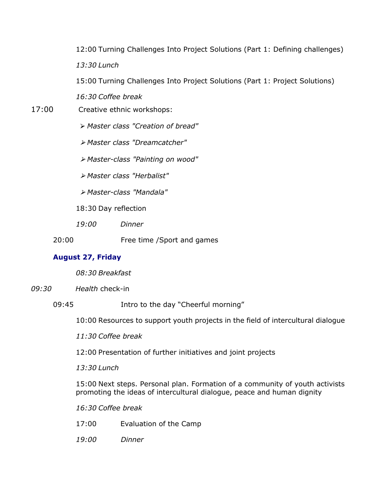12:00 Turning Challenges Into Project Solutions (Part 1: Defining challenges) *13:30 Lunch*

15:00 Turning Challenges Into Project Solutions (Part 1: Project Solutions)

*16:30 Coffee break* 

17:00 Creative ethnic workshops:

⮚ *Master class "Creation of bread"*

⮚ *Master class "Dreamcatcher"* 

⮚ *Master-class "Painting on wood"* 

⮚ *Master class "Herbalist"*

⮚ *Master-class "Mandala"*

18:30 Day reflection

*19:00 Dinner*

20:00 Free time /Sport and games

## **August 27, Friday**

*08:30 Breakfast*

*09:30 Health* check-in

09:45 Intro to the day "Cheerful morning"

10:00 Resources to support youth projects in the field of intercultural dialogue

*11:30 Coffee break*

12:00 Presentation of further initiatives and joint projects

*13:30 Lunch*

15:00 Next steps. Personal plan. Formation of a community of youth activists promoting the ideas of intercultural dialogue, peace and human dignity

*16:30 Coffee break*

- 17:00 Evaluation of the Camp
- *19:00 Dinner*